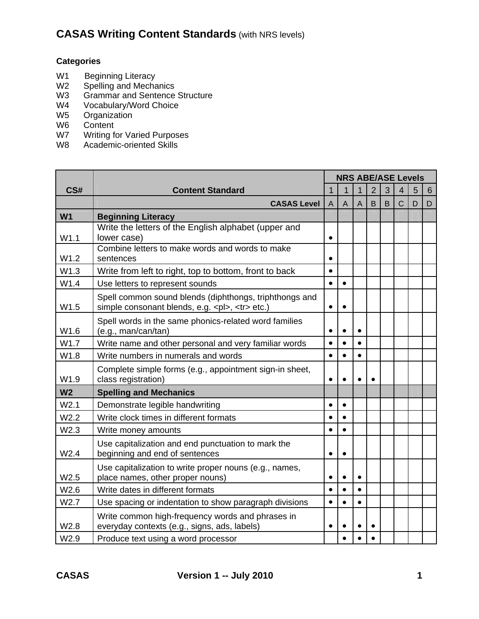#### **Categories**

- W1 Beginning Literacy<br>W2 Spelling and Mecha
- W2 Spelling and Mechanics<br>W3 Grammar and Sentence
- W3 Grammar and Sentence Structure<br>W4 Vocabulary/Word Choice
- W4 Vocabulary/Word Choice<br>W5 Organization
- W5 Organization<br>W6 Content
- Content
- W7 Writing for Varied Purposes
- W8 Academic-oriented Skills

|                  |                                                                                                                    | <b>NRS ABE/ASE Levels</b> |   |                |                |   |                |   |   |  |
|------------------|--------------------------------------------------------------------------------------------------------------------|---------------------------|---|----------------|----------------|---|----------------|---|---|--|
| CS#              | <b>Content Standard</b>                                                                                            | $\overline{1}$            | 1 |                | $\overline{2}$ | 3 | 4              | 5 | 6 |  |
|                  | <b>CASAS Level</b>                                                                                                 | $\overline{A}$            | A | $\overline{A}$ | B              | B | $\overline{C}$ | D | D |  |
| W <sub>1</sub>   | <b>Beginning Literacy</b>                                                                                          |                           |   |                |                |   |                |   |   |  |
| W1.1             | Write the letters of the English alphabet (upper and<br>lower case)                                                | $\bullet$                 |   |                |                |   |                |   |   |  |
| W1.2             | Combine letters to make words and words to make<br>sentences                                                       | $\bullet$                 |   |                |                |   |                |   |   |  |
| W1.3             | Write from left to right, top to bottom, front to back                                                             | $\bullet$                 |   |                |                |   |                |   |   |  |
| W1.4             | Use letters to represent sounds                                                                                    | $\bullet$                 |   |                |                |   |                |   |   |  |
| W1.5             | Spell common sound blends (diphthongs, triphthongs and<br>simple consonant blends, e.g. <pl>, <tr> etc.)</tr></pl> | $\bullet$                 |   |                |                |   |                |   |   |  |
|                  |                                                                                                                    |                           |   |                |                |   |                |   |   |  |
| W1.6             | Spell words in the same phonics-related word families<br>(e.g., man/can/tan)                                       | $\bullet$                 |   |                |                |   |                |   |   |  |
| W1.7             | Write name and other personal and very familiar words                                                              | $\bullet$                 |   | $\bullet$      |                |   |                |   |   |  |
| W1.8             | Write numbers in numerals and words                                                                                | $\bullet$                 |   |                |                |   |                |   |   |  |
| W1.9             | Complete simple forms (e.g., appointment sign-in sheet,<br>class registration)                                     | $\bullet$                 |   |                | $\bullet$      |   |                |   |   |  |
| W <sub>2</sub>   | <b>Spelling and Mechanics</b>                                                                                      |                           |   |                |                |   |                |   |   |  |
| W <sub>2.1</sub> | Demonstrate legible handwriting                                                                                    | $\bullet$                 |   |                |                |   |                |   |   |  |
| W <sub>2.2</sub> | Write clock times in different formats                                                                             | $\bullet$                 |   |                |                |   |                |   |   |  |
| W2.3             | Write money amounts                                                                                                | $\bullet$                 |   |                |                |   |                |   |   |  |
| W2.4             | Use capitalization and end punctuation to mark the<br>beginning and end of sentences                               | $\bullet$                 |   |                |                |   |                |   |   |  |
| W2.5             | Use capitalization to write proper nouns (e.g., names,<br>place names, other proper nouns)                         | $\bullet$                 |   |                |                |   |                |   |   |  |
| W <sub>2.6</sub> | Write dates in different formats                                                                                   | $\bullet$                 |   |                |                |   |                |   |   |  |
| W2.7             | Use spacing or indentation to show paragraph divisions                                                             | $\bullet$                 |   | $\bullet$      |                |   |                |   |   |  |
| W2.8             | Write common high-frequency words and phrases in<br>everyday contexts (e.g., signs, ads, labels)                   | $\bullet$                 |   |                |                |   |                |   |   |  |
| W <sub>2.9</sub> | Produce text using a word processor                                                                                |                           |   |                |                |   |                |   |   |  |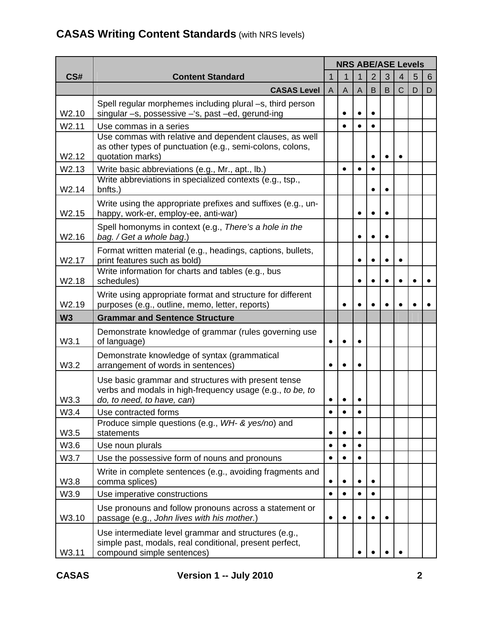|                   |                                                                                                                                                |              | <b>NRS ABE/ASE Levels</b> |                |                |   |   |   |   |  |  |
|-------------------|------------------------------------------------------------------------------------------------------------------------------------------------|--------------|---------------------------|----------------|----------------|---|---|---|---|--|--|
| CS#               | <b>Content Standard</b>                                                                                                                        | $\mathbf{1}$ | 1                         |                | $\overline{2}$ | 3 | 4 | 5 | 6 |  |  |
|                   | <b>CASAS Level</b>                                                                                                                             | $\mathsf{A}$ | $\mathsf{A}$              | $\overline{A}$ | B              | B | C | D | D |  |  |
| W2.10             | Spell regular morphemes including plural -s, third person<br>singular -s, possessive -'s, past -ed, gerund-ing                                 |              |                           |                | $\bullet$      |   |   |   |   |  |  |
| W <sub>2.11</sub> | Use commas in a series                                                                                                                         |              |                           |                | $\bullet$      |   |   |   |   |  |  |
| W2.12             | Use commas with relative and dependent clauses, as well<br>as other types of punctuation (e.g., semi-colons, colons,<br>quotation marks)       |              |                           |                | $\bullet$      |   |   |   |   |  |  |
| W2.13             | Write basic abbreviations (e.g., Mr., apt., lb.)                                                                                               |              | $\bullet$                 | $\bullet$      | $\bullet$      |   |   |   |   |  |  |
| W <sub>2.14</sub> | Write abbreviations in specialized contexts (e.g., tsp.,<br>bnfts.)                                                                            |              |                           |                | $\bullet$      |   |   |   |   |  |  |
| W2.15             | Write using the appropriate prefixes and suffixes (e.g., un-<br>happy, work-er, employ-ee, anti-war)                                           |              |                           |                | $\bullet$      |   |   |   |   |  |  |
| W2.16             | Spell homonyms in context (e.g., There's a hole in the<br>bag. / Get a whole bag.)                                                             |              |                           | $\bullet$      | $\bullet$      |   |   |   |   |  |  |
| W2.17             | Format written material (e.g., headings, captions, bullets,<br>print features such as bold)                                                    |              |                           |                |                |   |   |   |   |  |  |
| W2.18             | Write information for charts and tables (e.g., bus<br>schedules)                                                                               |              |                           |                |                |   |   |   |   |  |  |
| W2.19             | Write using appropriate format and structure for different<br>purposes (e.g., outline, memo, letter, reports)                                  |              |                           |                |                |   |   |   |   |  |  |
| W <sub>3</sub>    | <b>Grammar and Sentence Structure</b>                                                                                                          |              |                           |                |                |   |   |   |   |  |  |
| W3.1              | Demonstrate knowledge of grammar (rules governing use<br>of language)                                                                          | $\bullet$    |                           |                |                |   |   |   |   |  |  |
| W3.2              | Demonstrate knowledge of syntax (grammatical<br>arrangement of words in sentences)                                                             | $\bullet$    |                           |                |                |   |   |   |   |  |  |
| W3.3              | Use basic grammar and structures with present tense<br>verbs and modals in high-frequency usage (e.g., to be, to<br>do, to need, to have, can) |              |                           |                |                |   |   |   |   |  |  |
| W3.4              | Use contracted forms                                                                                                                           | $\bullet$    |                           |                |                |   |   |   |   |  |  |
| W3.5              | Produce simple questions (e.g., WH- & yes/no) and<br>statements                                                                                | $\bullet$    |                           |                |                |   |   |   |   |  |  |
| W3.6              | Use noun plurals                                                                                                                               | $\bullet$    |                           |                |                |   |   |   |   |  |  |
| W3.7              | Use the possessive form of nouns and pronouns                                                                                                  | $\bullet$    |                           |                |                |   |   |   |   |  |  |
| W3.8              | Write in complete sentences (e.g., avoiding fragments and<br>comma splices)                                                                    | ٠            |                           |                |                |   |   |   |   |  |  |
| W3.9              | Use imperative constructions                                                                                                                   | $\bullet$    |                           |                |                |   |   |   |   |  |  |
| W3.10             | Use pronouns and follow pronouns across a statement or<br>passage (e.g., John lives with his mother.)                                          | $\bullet$    |                           |                | $\bullet$      |   |   |   |   |  |  |
| W3.11             | Use intermediate level grammar and structures (e.g.,<br>simple past, modals, real conditional, present perfect,<br>compound simple sentences)  |              |                           |                |                |   |   |   |   |  |  |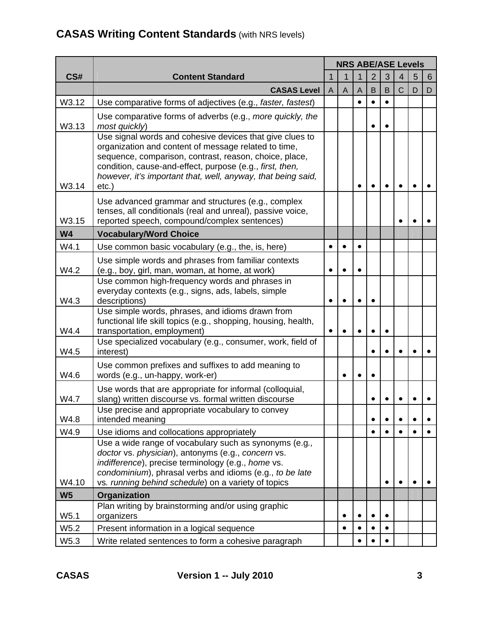|                  |                                                                                                                                                                                                                                                                                                                    | <b>NRS ABE/ASE Levels</b> |                |                |                |   |             |   |   |
|------------------|--------------------------------------------------------------------------------------------------------------------------------------------------------------------------------------------------------------------------------------------------------------------------------------------------------------------|---------------------------|----------------|----------------|----------------|---|-------------|---|---|
| CS#              | <b>Content Standard</b>                                                                                                                                                                                                                                                                                            | $\mathbf{1}$              |                |                | $\overline{2}$ | 3 | 4           | 5 | 6 |
|                  | <b>CASAS Level</b>                                                                                                                                                                                                                                                                                                 | A                         | $\overline{A}$ | $\overline{A}$ | B              | B | $\mathsf C$ | D | D |
| W3.12            | Use comparative forms of adjectives (e.g., faster, fastest)                                                                                                                                                                                                                                                        |                           |                |                |                |   |             |   |   |
| W3.13            | Use comparative forms of adverbs (e.g., more quickly, the<br>most quickly)                                                                                                                                                                                                                                         |                           |                |                | $\bullet$      |   |             |   |   |
| W3.14            | Use signal words and cohesive devices that give clues to<br>organization and content of message related to time,<br>sequence, comparison, contrast, reason, choice, place,<br>condition, cause-and-effect, purpose (e.g., first, then,<br>however, it's important that, well, anyway, that being said,<br>$etc.$ ) |                           |                |                |                |   |             |   |   |
| W3.15            | Use advanced grammar and structures (e.g., complex<br>tenses, all conditionals (real and unreal), passive voice,<br>reported speech, compound/complex sentences)                                                                                                                                                   |                           |                |                |                |   |             |   |   |
| <b>W4</b>        | <b>Vocabulary/Word Choice</b>                                                                                                                                                                                                                                                                                      |                           |                |                |                |   |             |   |   |
| W4.1             | Use common basic vocabulary (e.g., the, is, here)                                                                                                                                                                                                                                                                  |                           |                |                |                |   |             |   |   |
| W4.2             | Use simple words and phrases from familiar contexts<br>(e.g., boy, girl, man, woman, at home, at work)                                                                                                                                                                                                             |                           |                |                |                |   |             |   |   |
| W4.3             | Use common high-frequency words and phrases in<br>everyday contexts (e.g., signs, ads, labels, simple<br>descriptions)                                                                                                                                                                                             | $\bullet$                 |                |                |                |   |             |   |   |
| W4.4             | Use simple words, phrases, and idioms drawn from<br>functional life skill topics (e.g., shopping, housing, health,<br>transportation, employment)                                                                                                                                                                  | $\bullet$                 |                |                |                |   |             |   |   |
| W4.5             | Use specialized vocabulary (e.g., consumer, work, field of<br>interest)                                                                                                                                                                                                                                            |                           |                |                | $\bullet$      |   |             |   |   |
| W4.6             | Use common prefixes and suffixes to add meaning to<br>words (e.g., un-happy, work-er)                                                                                                                                                                                                                              |                           |                |                | $\bullet$      |   |             |   |   |
| W4.7             | Use words that are appropriate for informal (colloquial,<br>slang) written discourse vs. formal written discourse                                                                                                                                                                                                  |                           |                |                |                |   |             |   |   |
| W4.8             | Use precise and appropriate vocabulary to convey<br>intended meaning                                                                                                                                                                                                                                               |                           |                |                | $\bullet$      |   |             |   |   |
| W4.9             | Use idioms and collocations appropriately                                                                                                                                                                                                                                                                          |                           |                |                | $\bullet$      |   |             |   |   |
| W4.10            | Use a wide range of vocabulary such as synonyms (e.g.,<br>doctor vs. physician), antonyms (e.g., concern vs.<br>indifference), precise terminology (e.g., home vs.<br>condominium), phrasal verbs and idioms (e.g., to be late<br>vs. running behind schedule) on a variety of topics                              |                           |                |                |                |   |             |   |   |
| W <sub>5</sub>   | Organization                                                                                                                                                                                                                                                                                                       |                           |                |                |                |   |             |   |   |
| W <sub>5.1</sub> | Plan writing by brainstorming and/or using graphic<br>organizers                                                                                                                                                                                                                                                   |                           |                |                | $\bullet$      |   |             |   |   |
| W5.2             | Present information in a logical sequence                                                                                                                                                                                                                                                                          |                           |                |                |                |   |             |   |   |
| W5.3             | Write related sentences to form a cohesive paragraph                                                                                                                                                                                                                                                               |                           |                |                |                |   |             |   |   |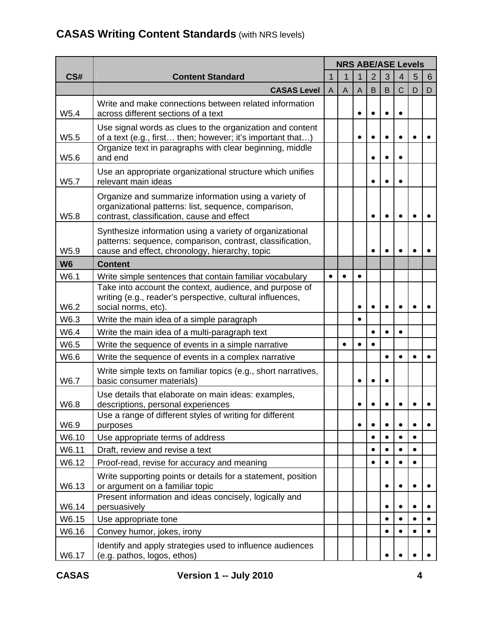|                  |                                                                                                                                                                         | <b>NRS ABE/ASE Levels</b> |                |                |                |           |                |           |   |  |
|------------------|-------------------------------------------------------------------------------------------------------------------------------------------------------------------------|---------------------------|----------------|----------------|----------------|-----------|----------------|-----------|---|--|
| CS#              | <b>Content Standard</b>                                                                                                                                                 |                           |                |                | $\overline{2}$ | 3         | $\overline{4}$ | 5         | 6 |  |
|                  | <b>CASAS Level</b>                                                                                                                                                      | $\mathsf{A}$              | $\overline{A}$ | $\overline{A}$ | B              | B         | $\mathsf C$    | D         | D |  |
| W <sub>5.4</sub> | Write and make connections between related information<br>across different sections of a text                                                                           |                           |                |                |                |           |                |           |   |  |
| W <sub>5.5</sub> | Use signal words as clues to the organization and content<br>of a text (e.g., first then; however; it's important that)                                                 |                           |                | $\bullet$      | $\bullet$      |           |                |           |   |  |
| W5.6             | Organize text in paragraphs with clear beginning, middle<br>and end                                                                                                     |                           |                |                |                |           |                |           |   |  |
| W <sub>5.7</sub> | Use an appropriate organizational structure which unifies<br>relevant main ideas                                                                                        |                           |                |                | $\bullet$      |           |                |           |   |  |
| W5.8             | Organize and summarize information using a variety of<br>organizational patterns: list, sequence, comparison,<br>contrast, classification, cause and effect             |                           |                |                | $\bullet$      |           |                |           |   |  |
| W5.9             | Synthesize information using a variety of organizational<br>patterns: sequence, comparison, contrast, classification,<br>cause and effect, chronology, hierarchy, topic |                           |                |                |                |           |                |           |   |  |
| W <sub>6</sub>   | <b>Content</b>                                                                                                                                                          |                           |                |                |                |           |                |           |   |  |
| W6.1             | Write simple sentences that contain familiar vocabulary                                                                                                                 | $\bullet$                 |                |                |                |           |                |           |   |  |
| W6.2             | Take into account the context, audience, and purpose of<br>writing (e.g., reader's perspective, cultural influences,<br>social norms, etc).                             |                           |                |                |                |           |                |           |   |  |
| W6.3             | Write the main idea of a simple paragraph                                                                                                                               |                           |                | $\bullet$      |                |           |                |           |   |  |
| W6.4             | Write the main idea of a multi-paragraph text                                                                                                                           |                           |                |                |                |           | $\bullet$      |           |   |  |
| W6.5             | Write the sequence of events in a simple narrative                                                                                                                      |                           | $\bullet$      | $\bullet$      |                |           |                |           |   |  |
| W6.6             | Write the sequence of events in a complex narrative                                                                                                                     |                           |                |                |                |           | $\bullet$      |           |   |  |
| W6.7             | Write simple texts on familiar topics (e.g., short narratives,<br>basic consumer materials)                                                                             |                           |                |                |                |           |                |           |   |  |
| W6.8             | Use details that elaborate on main ideas: examples,<br>descriptions, personal experiences                                                                               |                           |                |                |                |           |                |           |   |  |
| W6.9             | Use a range of different styles of writing for different<br>purposes                                                                                                    |                           |                | $\bullet$      | $\bullet$      |           |                | $\bullet$ |   |  |
| W6.10            | Use appropriate terms of address                                                                                                                                        |                           |                |                |                |           |                | $\bullet$ |   |  |
| W6.11            | Draft, review and revise a text                                                                                                                                         |                           |                |                | $\bullet$      |           |                | ٠         |   |  |
| W6.12            | Proof-read, revise for accuracy and meaning                                                                                                                             |                           |                |                | $\bullet$      |           |                |           |   |  |
| W6.13            | Write supporting points or details for a statement, position<br>or argument on a familiar topic                                                                         |                           |                |                |                |           | $\bullet$      | $\bullet$ |   |  |
| W6.14            | Present information and ideas concisely, logically and<br>persuasively                                                                                                  |                           |                |                |                |           |                | $\bullet$ |   |  |
| W6.15            | Use appropriate tone                                                                                                                                                    |                           |                |                |                |           |                |           |   |  |
| W6.16            | Convey humor, jokes, irony                                                                                                                                              |                           |                |                |                | $\bullet$ | $\bullet$      | $\bullet$ |   |  |
| W6.17            | Identify and apply strategies used to influence audiences<br>(e.g. pathos, logos, ethos)                                                                                |                           |                |                |                |           |                |           |   |  |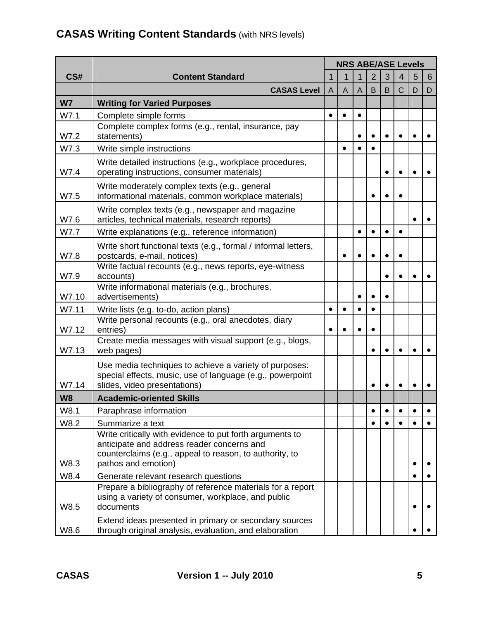#### **CS# Content Standard NRS ABE/ASE Levels**  1 | 1 | 1 | 2 | 3 | 4 | 5 | 6 **CASAS Level**  $A \mid A \mid B \mid B \mid C \mid D \mid D$ **W7 Writing for Varied Purposes**  W7.1 Complete simple forms W7.2 Complete complex forms (e.g., rental, insurance, pay statements) and the statements of the statements of the statements of the statements of the statements of the statements of the statements of the statements of the statements of the statements of the statements of the stat W7.3 Write simple instructions and the state of the state of the state of the state of the state of the state of the state of the state of the state of the state of the state of the state of the state of the state of the s W7.4 Write detailed instructions (e.g., workplace procedures, operating instructions, consumer materials) W7.5 Write moderately complex texts (e.g., general informational materials, common workplace materials)  $\|\cdot\|$  | | | | | | | | W7.6 Write complex texts (e.g., newspaper and magazine articles, technical materials, research reports) W7.7 Write explanations (e.g., reference information)  $\|\cdot\| \cdot |\cdot| \cdot |\cdot| \cdot$ W7.8 Write short functional texts (e.g., formal / informal letters, postcards, e-mail, notices) W7.9 Write factual recounts (e.g., news reports, eye-witness accounts) W7.10 Write informational materials (e.g., brochures, advertisements) and the set of the set of the set of the set of the set of the set of the set of the set of the W7.11 Write lists (e.g. to-do, action plans) W7.12 Write personal recounts (e.g., oral anecdotes, diary entries) W7.13 Create media messages with visual support (e.g., blogs, web pages) and the set of the set of the set of the set of the set of the set of the set of the set of the set of the set of the set of the set of the set of the set of the set of the set of the set of the set of the set o W7.14 Use media techniques to achieve a variety of purposes: special effects, music, use of language (e.g., powerpoint slides, video presentations) and the state of the state of the state of the state of the state of the state of the state of the state of the state of the state of the state of the state of the state of the state of the sta **W8 Academic-oriented Skills**  W8.1 Paraphrase information W8.2 Summarize a text W8.3 Write critically with evidence to put forth arguments to anticipate and address reader concerns and counterclaims (e.g., appeal to reason, to authority, to pathos and emotion) and the set of the set of the set of the set of the set of the set of the set of the set o W8.4 Generate relevant research questions W8.5 Prepare a bibliography of reference materials for a report using a variety of consumer, workplace, and public documents and the set of the set of the set of the set of the set of the set of the set of the set of the set o W8.6 Extend ideas presented in primary or secondary sources through original analysis, evaluation, and elaboration